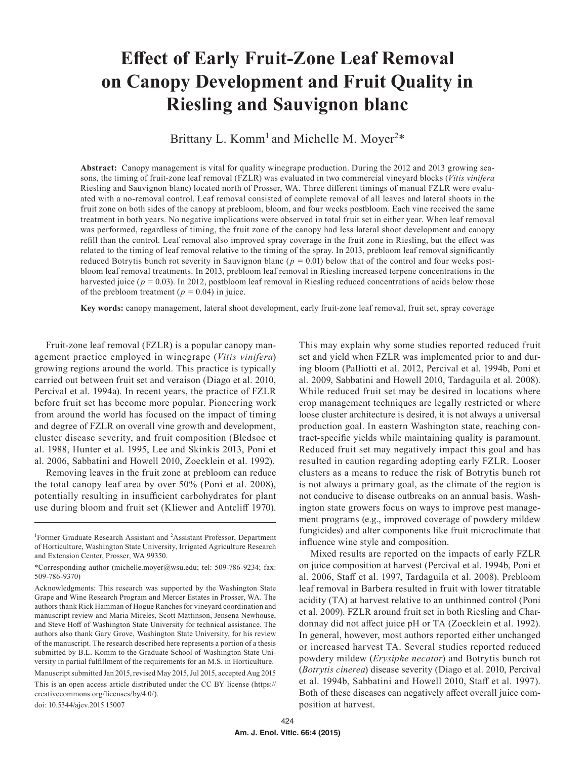# **Effect of Early Fruit-Zone Leaf Removal on Canopy Development and Fruit Quality in Riesling and Sauvignon blanc**

Brittany L. Komm<sup>1</sup> and Michelle M. Moyer<sup>2\*</sup>

**Abstract:** Canopy management is vital for quality winegrape production. During the 2012 and 2013 growing seasons, the timing of fruit-zone leaf removal (FZLR) was evaluated in two commercial vineyard blocks (*Vitis vinifera*  Riesling and Sauvignon blanc) located north of Prosser, WA. Three different timings of manual FZLR were evaluated with a no-removal control. Leaf removal consisted of complete removal of all leaves and lateral shoots in the fruit zone on both sides of the canopy at prebloom, bloom, and four weeks postbloom. Each vine received the same treatment in both years. No negative implications were observed in total fruit set in either year. When leaf removal was performed, regardless of timing, the fruit zone of the canopy had less lateral shoot development and canopy refill than the control. Leaf removal also improved spray coverage in the fruit zone in Riesling, but the effect was related to the timing of leaf removal relative to the timing of the spray. In 2013, prebloom leaf removal significantly reduced Botrytis bunch rot severity in Sauvignon blanc (*p =* 0.01) below that of the control and four weeks postbloom leaf removal treatments. In 2013, prebloom leaf removal in Riesling increased terpene concentrations in the harvested juice ( $p = 0.03$ ). In 2012, postbloom leaf removal in Riesling reduced concentrations of acids below those of the prebloom treatment (*p =* 0.04) in juice.

**Key words:** canopy management, lateral shoot development, early fruit-zone leaf removal, fruit set, spray coverage

Fruit-zone leaf removal (FZLR) is a popular canopy management practice employed in winegrape (*Vitis vinifera*) growing regions around the world. This practice is typically carried out between fruit set and veraison (Diago et al. 2010, Percival et al. 1994a). In recent years, the practice of FZLR before fruit set has become more popular. Pioneering work from around the world has focused on the impact of timing and degree of FZLR on overall vine growth and development, cluster disease severity, and fruit composition (Bledsoe et al. 1988, Hunter et al. 1995, Lee and Skinkis 2013, Poni et al. 2006, Sabbatini and Howell 2010, Zoecklein et al. 1992).

Removing leaves in the fruit zone at prebloom can reduce the total canopy leaf area by over 50% (Poni et al. 2008), potentially resulting in insufficient carbohydrates for plant use during bloom and fruit set (Kliewer and Antcliff 1970).

This is an open access article distributed under the CC BY license (https:// creativecommons.org/licenses/by/4.0/).

doi: 10.5344/ajev.2015.15007

This may explain why some studies reported reduced fruit set and yield when FZLR was implemented prior to and during bloom (Palliotti et al. 2012, Percival et al. 1994b, Poni et al. 2009, Sabbatini and Howell 2010, Tardaguila et al. 2008). While reduced fruit set may be desired in locations where crop management techniques are legally restricted or where loose cluster architecture is desired, it is not always a universal production goal. In eastern Washington state, reaching contract-specific yields while maintaining quality is paramount. Reduced fruit set may negatively impact this goal and has resulted in caution regarding adopting early FZLR. Looser clusters as a means to reduce the risk of Botrytis bunch rot is not always a primary goal, as the climate of the region is not conducive to disease outbreaks on an annual basis. Washington state growers focus on ways to improve pest management programs (e.g., improved coverage of powdery mildew fungicides) and alter components like fruit microclimate that influence wine style and composition.

Mixed results are reported on the impacts of early FZLR on juice composition at harvest (Percival et al. 1994b, Poni et al. 2006, Staff et al. 1997, Tardaguila et al. 2008). Prebloom leaf removal in Barbera resulted in fruit with lower titratable acidity (TA) at harvest relative to an unthinned control (Poni et al. 2009). FZLR around fruit set in both Riesling and Chardonnay did not affect juice pH or TA (Zoecklein et al. 1992). In general, however, most authors reported either unchanged or increased harvest TA. Several studies reported reduced powdery mildew (*Erysiphe necator*) and Botrytis bunch rot (*Botrytis cinerea*) disease severity (Diago et al. 2010, Percival et al. 1994b, Sabbatini and Howell 2010, Staff et al. 1997). Both of these diseases can negatively affect overall juice composition at harvest.

<sup>&</sup>lt;sup>1</sup>Former Graduate Research Assistant and <sup>2</sup>Assistant Professor, Department of Horticulture, Washington State University, Irrigated Agriculture Research and Extension Center, Prosser, WA 99350.

<sup>\*</sup>Corresponding author (michelle.moyer@wsu.edu; tel: 509-786-9234; fax: 509-786-9370)

Acknowledgments: This research was supported by the Washington State Grape and Wine Research Program and Mercer Estates in Prosser, WA. The authors thank Rick Hamman of Hogue Ranches for vineyard coordination and manuscript review and Maria Mireles, Scott Mattinson, Jensena Newhouse, and Steve Hoff of Washington State University for technical assistance. The authors also thank Gary Grove, Washington State University, for his review of the manuscript. The research described here represents a portion of a thesis submitted by B.L. Komm to the Graduate School of Washington State University in partial fulfillment of the requirements for an M.S. in Horticulture. Manuscript submitted Jan 2015, revised May 2015, Jul 2015, accepted Aug 2015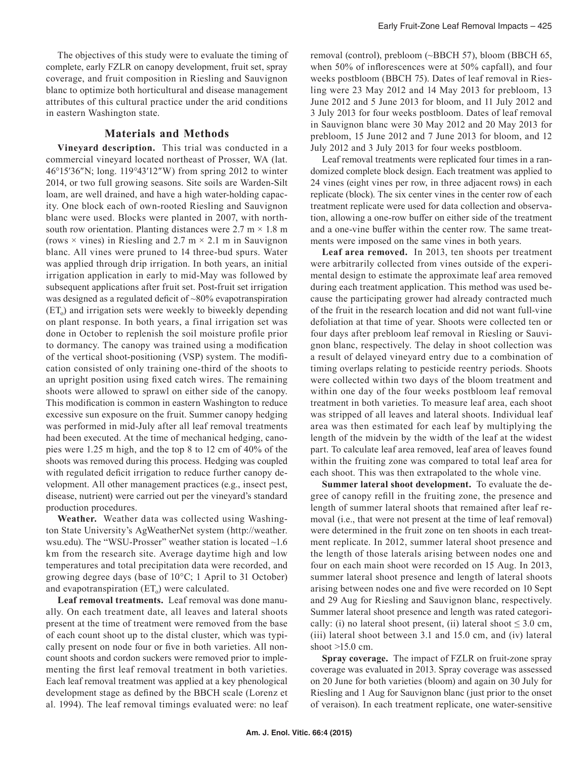The objectives of this study were to evaluate the timing of complete, early FZLR on canopy development, fruit set, spray coverage, and fruit composition in Riesling and Sauvignon blanc to optimize both horticultural and disease management attributes of this cultural practice under the arid conditions in eastern Washington state.

## **Materials and Methods**

**Vineyard description.** This trial was conducted in a commercial vineyard located northeast of Prosser, WA (lat. 46°15′36″N; long. 119°43′12″W) from spring 2012 to winter 2014, or two full growing seasons. Site soils are Warden-Silt loam, are well drained, and have a high water-holding capacity. One block each of own-rooted Riesling and Sauvignon blanc were used. Blocks were planted in 2007, with northsouth row orientation. Planting distances were  $2.7 \text{ m} \times 1.8 \text{ m}$ (rows  $\times$  vines) in Riesling and 2.7 m  $\times$  2.1 m in Sauvignon blanc. All vines were pruned to 14 three-bud spurs. Water was applied through drip irrigation. In both years, an initial irrigation application in early to mid-May was followed by subsequent applications after fruit set. Post-fruit set irrigation was designed as a regulated deficit of ~80% evapotranspiration  $(ET<sub>o</sub>)$  and irrigation sets were weekly to biweekly depending on plant response. In both years, a final irrigation set was done in October to replenish the soil moisture profile prior to dormancy. The canopy was trained using a modification of the vertical shoot-positioning (VSP) system. The modification consisted of only training one-third of the shoots to an upright position using fixed catch wires. The remaining shoots were allowed to sprawl on either side of the canopy. This modification is common in eastern Washington to reduce excessive sun exposure on the fruit. Summer canopy hedging was performed in mid-July after all leaf removal treatments had been executed. At the time of mechanical hedging, canopies were 1.25 m high, and the top 8 to 12 cm of 40% of the shoots was removed during this process. Hedging was coupled with regulated deficit irrigation to reduce further canopy development. All other management practices (e.g., insect pest, disease, nutrient) were carried out per the vineyard's standard production procedures.

**Weather.**Weather data was collected using Washington State University's AgWeatherNet system (http://weather. wsu.edu). The "WSU-Prosser" weather station is located ~1.6 km from the research site. Average daytime high and low temperatures and total precipitation data were recorded, and growing degree days (base of 10°C; 1 April to 31 October) and evapotranspiration  $(ET_0)$  were calculated.

**Leaf removal treatments.**Leaf removal was done manually. On each treatment date, all leaves and lateral shoots present at the time of treatment were removed from the base of each count shoot up to the distal cluster, which was typically present on node four or five in both varieties. All noncount shoots and cordon suckers were removed prior to implementing the first leaf removal treatment in both varieties. Each leaf removal treatment was applied at a key phenological development stage as defined by the BBCH scale (Lorenz et al. 1994). The leaf removal timings evaluated were: no leaf removal (control), prebloom (~BBCH 57), bloom (BBCH 65, when 50% of inflorescences were at 50% capfall), and four weeks postbloom (BBCH 75). Dates of leaf removal in Riesling were 23 May 2012 and 14 May 2013 for prebloom, 13 June 2012 and 5 June 2013 for bloom, and 11 July 2012 and 3 July 2013 for four weeks postbloom. Dates of leaf removal in Sauvignon blanc were 30 May 2012 and 20 May 2013 for prebloom, 15 June 2012 and 7 June 2013 for bloom, and 12 July 2012 and 3 July 2013 for four weeks postbloom.

Leaf removal treatments were replicated four times in a randomized complete block design. Each treatment was applied to 24 vines (eight vines per row, in three adjacent rows) in each replicate (block). The six center vines in the center row of each treatment replicate were used for data collection and observation, allowing a one-row buffer on either side of the treatment and a one-vine buffer within the center row. The same treatments were imposed on the same vines in both years.

**Leaf area removed.**In 2013, ten shoots per treatment were arbitrarily collected from vines outside of the experimental design to estimate the approximate leaf area removed during each treatment application. This method was used because the participating grower had already contracted much of the fruit in the research location and did not want full-vine defoliation at that time of year. Shoots were collected ten or four days after prebloom leaf removal in Riesling or Sauvignon blanc, respectively. The delay in shoot collection was a result of delayed vineyard entry due to a combination of timing overlaps relating to pesticide reentry periods. Shoots were collected within two days of the bloom treatment and within one day of the four weeks postbloom leaf removal treatment in both varieties. To measure leaf area, each shoot was stripped of all leaves and lateral shoots. Individual leaf area was then estimated for each leaf by multiplying the length of the midvein by the width of the leaf at the widest part. To calculate leaf area removed, leaf area of leaves found within the fruiting zone was compared to total leaf area for each shoot. This was then extrapolated to the whole vine.

**Summer lateral shoot development.** To evaluate the degree of canopy refill in the fruiting zone, the presence and length of summer lateral shoots that remained after leaf removal (i.e., that were not present at the time of leaf removal) were determined in the fruit zone on ten shoots in each treatment replicate. In 2012, summer lateral shoot presence and the length of those laterals arising between nodes one and four on each main shoot were recorded on 15 Aug. In 2013, summer lateral shoot presence and length of lateral shoots arising between nodes one and five were recorded on 10 Sept and 29 Aug for Riesling and Sauvignon blanc, respectively. Summer lateral shoot presence and length was rated categorically: (i) no lateral shoot present, (ii) lateral shoot  $\leq 3.0$  cm, (iii) lateral shoot between 3.1 and 15.0 cm, and (iv) lateral shoot >15.0 cm.

**Spray coverage.** The impact of FZLR on fruit-zone spray coverage was evaluated in 2013. Spray coverage was assessed on 20 June for both varieties (bloom) and again on 30 July for Riesling and 1 Aug for Sauvignon blanc (just prior to the onset of veraison). In each treatment replicate, one water-sensitive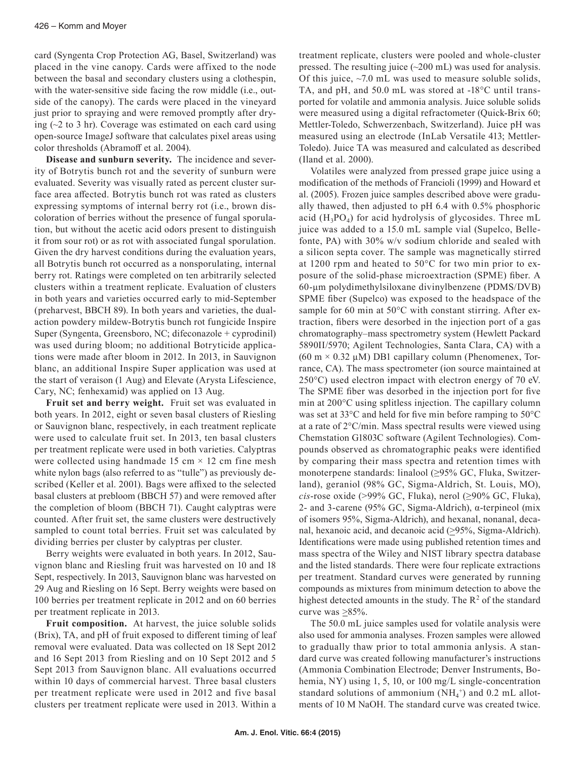card (Syngenta Crop Protection AG, Basel, Switzerland) was placed in the vine canopy. Cards were affixed to the node between the basal and secondary clusters using a clothespin, with the water-sensitive side facing the row middle (i.e., outside of the canopy). The cards were placed in the vineyard just prior to spraying and were removed promptly after drying  $(\sim 2$  to 3 hr). Coverage was estimated on each card using open-source ImageJ software that calculates pixel areas using color thresholds (Abramoff et al. 2004).

**Disease and sunburn severity.**The incidence and severity of Botrytis bunch rot and the severity of sunburn were evaluated. Severity was visually rated as percent cluster surface area affected. Botrytis bunch rot was rated as clusters expressing symptoms of internal berry rot (i.e., brown discoloration of berries without the presence of fungal sporulation, but without the acetic acid odors present to distinguish it from sour rot) or as rot with associated fungal sporulation. Given the dry harvest conditions during the evaluation years, all Botrytis bunch rot occurred as a nonsporulating, internal berry rot. Ratings were completed on ten arbitrarily selected clusters within a treatment replicate. Evaluation of clusters in both years and varieties occurred early to mid-September (preharvest, BBCH 89). In both years and varieties, the dualaction powdery mildew-Botrytis bunch rot fungicide Inspire Super (Syngenta, Greensboro, NC; difeconazole + cyprodinil) was used during bloom; no additional Botryticide applications were made after bloom in 2012. In 2013, in Sauvignon blanc, an additional Inspire Super application was used at the start of veraison (1 Aug) and Elevate (Arysta Lifescience, Cary, NC; fenhexamid) was applied on 13 Aug.

**Fruit set and berry weight***.* Fruit set was evaluated in both years. In 2012, eight or seven basal clusters of Riesling or Sauvignon blanc, respectively, in each treatment replicate were used to calculate fruit set. In 2013, ten basal clusters per treatment replicate were used in both varieties. Calyptras were collected using handmade 15 cm  $\times$  12 cm fine mesh white nylon bags (also referred to as "tulle") as previously described (Keller et al. 2001). Bags were affixed to the selected basal clusters at prebloom (BBCH 57) and were removed after the completion of bloom (BBCH 71). Caught calyptras were counted. After fruit set, the same clusters were destructively sampled to count total berries. Fruit set was calculated by dividing berries per cluster by calyptras per cluster.

Berry weights were evaluated in both years. In 2012, Sauvignon blanc and Riesling fruit was harvested on 10 and 18 Sept, respectively. In 2013, Sauvignon blanc was harvested on 29 Aug and Riesling on 16 Sept. Berry weights were based on 100 berries per treatment replicate in 2012 and on 60 berries per treatment replicate in 2013.

**Fruit composition.** At harvest, the juice soluble solids (Brix), TA, and pH of fruit exposed to different timing of leaf removal were evaluated. Data was collected on 18 Sept 2012 and 16 Sept 2013 from Riesling and on 10 Sept 2012 and 5 Sept 2013 from Sauvignon blanc. All evaluations occurred within 10 days of commercial harvest. Three basal clusters per treatment replicate were used in 2012 and five basal clusters per treatment replicate were used in 2013. Within a

treatment replicate, clusters were pooled and whole-cluster pressed. The resulting juice  $(\sim 200 \text{ mL})$  was used for analysis. Of this juice,  $\sim$ 7.0 mL was used to measure soluble solids, TA, and pH, and 50.0 mL was stored at -18°C until transported for volatile and ammonia analysis. Juice soluble solids were measured using a digital refractometer (Quick-Brix 60; Mettler-Toledo, Schwerzenbach, Switzerland). Juice pH was measured using an electrode (InLab Versatile 413; Mettler-Toledo). Juice TA was measured and calculated as described (Iland et al. 2000).

Volatiles were analyzed from pressed grape juice using a modification of the methods of Francioli (1999) and Howard et al. (2005). Frozen juice samples described above were gradually thawed, then adjusted to pH 6.4 with 0.5% phosphoric acid  $(H_3PO_4)$  for acid hydrolysis of glycosides. Three mL juice was added to a 15.0 mL sample vial (Supelco, Bellefonte, PA) with 30% w/v sodium chloride and sealed with a silicon septa cover. The sample was magnetically stirred at 1200 rpm and heated to 50°C for two min prior to exposure of the solid-phase microextraction (SPME) fiber. A 60-μm polydimethylsiloxane divinylbenzene (PDMS/DVB) SPME fiber (Supelco) was exposed to the headspace of the sample for 60 min at 50°C with constant stirring. After extraction, fibers were desorbed in the injection port of a gas chromatography–mass spectrometry system (Hewlett Packard 5890II/5970; Agilent Technologies, Santa Clara, CA) with a (60 m  $\times$  0.32 µM) DB1 capillary column (Phenomenex, Torrance, CA). The mass spectrometer (ion source maintained at 250°C) used electron impact with electron energy of 70 eV. The SPME fiber was desorbed in the injection port for five min at 200°C using splitless injection. The capillary column was set at 33°C and held for five min before ramping to 50°C at a rate of 2°C/min. Mass spectral results were viewed using Chemstation G1803C software (Agilent Technologies). Compounds observed as chromatographic peaks were identified by comparing their mass spectra and retention times with monoterpene standards: linalool (≥95% GC, Fluka, Switzerland), geraniol (98% GC, Sigma-Aldrich, St. Louis, MO), *cis*-rose oxide (>99% GC, Fluka), nerol (≥90% GC, Fluka), 2- and 3-carene (95% GC, Sigma-Aldrich), α-terpineol (mix of isomers 95%, Sigma-Aldrich), and hexanal, nonanal, decanal, hexanoic acid, and decanoic acid  $(≥95%,$  Sigma-Aldrich). Identifications were made using published retention times and mass spectra of the Wiley and NIST library spectra database and the listed standards. There were four replicate extractions per treatment. Standard curves were generated by running compounds as mixtures from minimum detection to above the highest detected amounts in the study. The  $\mathbb{R}^2$  of the standard curve was  $\geq 85\%$ .

The 50.0 mL juice samples used for volatile analysis were also used for ammonia analyses. Frozen samples were allowed to gradually thaw prior to total ammonia anlysis. A standard curve was created following manufacturer's instructions (Ammonia Combination Electrode; Denver Instruments, Bohemia, NY) using 1, 5, 10, or 100 mg/L single-concentration standard solutions of ammonium  $(NH_4^+)$  and 0.2 mL allotments of 10 M NaOH. The standard curve was created twice.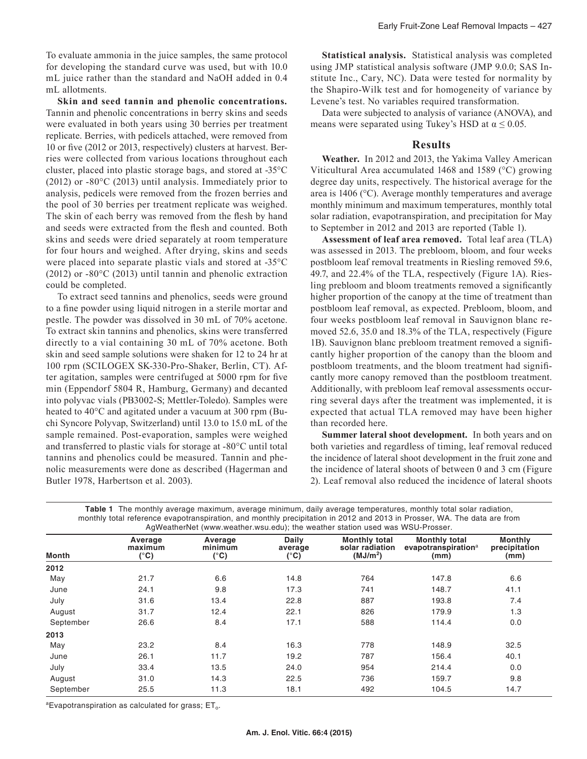To evaluate ammonia in the juice samples, the same protocol for developing the standard curve was used, but with 10.0 mL juice rather than the standard and NaOH added in 0.4 mL allotments.

**Skin and seed tannin and phenolic concentrations***.* Tannin and phenolic concentrations in berry skins and seeds were evaluated in both years using 30 berries per treatment replicate. Berries, with pedicels attached, were removed from 10 or five (2012 or 2013, respectively) clusters at harvest. Berries were collected from various locations throughout each cluster, placed into plastic storage bags, and stored at -35°C (2012) or -80°C (2013) until analysis. Immediately prior to analysis, pedicels were removed from the frozen berries and the pool of 30 berries per treatment replicate was weighed. The skin of each berry was removed from the flesh by hand and seeds were extracted from the flesh and counted. Both skins and seeds were dried separately at room temperature for four hours and weighed. After drying, skins and seeds were placed into separate plastic vials and stored at -35°C (2012) or -80°C (2013) until tannin and phenolic extraction could be completed.

To extract seed tannins and phenolics, seeds were ground to a fine powder using liquid nitrogen in a sterile mortar and pestle. The powder was dissolved in 30 mL of 70% acetone. To extract skin tannins and phenolics, skins were transferred directly to a vial containing 30 mL of 70% acetone. Both skin and seed sample solutions were shaken for 12 to 24 hr at 100 rpm (SCILOGEX SK-330-Pro-Shaker, Berlin, CT). After agitation, samples were centrifuged at 5000 rpm for five min (Eppendorf 5804 R, Hamburg, Germany) and decanted into polyvac vials (PB3002-S; Mettler-Toledo). Samples were heated to 40°C and agitated under a vacuum at 300 rpm (Buchi Syncore Polyvap, Switzerland) until 13.0 to 15.0 mL of the sample remained. Post-evaporation, samples were weighed and transferred to plastic vials for storage at -80°C until total tannins and phenolics could be measured. Tannin and phenolic measurements were done as described (Hagerman and Butler 1978, Harbertson et al. 2003).

**Statistical analysis.** Statistical analysis was completed using JMP statistical analysis software (JMP 9.0.0; SAS Institute Inc., Cary, NC). Data were tested for normality by the Shapiro-Wilk test and for homogeneity of variance by Levene's test. No variables required transformation.

Data were subjected to analysis of variance (ANOVA), and means were separated using Tukey's HSD at  $\alpha \leq 0.05$ .

## **Results**

**Weather.** In 2012 and 2013, the Yakima Valley American Viticultural Area accumulated 1468 and 1589 (°C) growing degree day units, respectively. The historical average for the area is 1406 (°C). Average monthly temperatures and average monthly minimum and maximum temperatures, monthly total solar radiation, evapotranspiration, and precipitation for May to September in 2012 and 2013 are reported (Table 1).

**Assessment of leaf area removed.** Total leaf area (TLA) was assessed in 2013. The prebloom, bloom, and four weeks postbloom leaf removal treatments in Riesling removed 59.6, 49.7, and 22.4% of the TLA, respectively (Figure 1A). Riesling prebloom and bloom treatments removed a significantly higher proportion of the canopy at the time of treatment than postbloom leaf removal, as expected. Prebloom, bloom, and four weeks postbloom leaf removal in Sauvignon blanc removed 52.6, 35.0 and 18.3% of the TLA, respectively (Figure 1B). Sauvignon blanc prebloom treatment removed a significantly higher proportion of the canopy than the bloom and postbloom treatments, and the bloom treatment had significantly more canopy removed than the postbloom treatment. Additionally, with prebloom leaf removal assessments occurring several days after the treatment was implemented, it is expected that actual TLA removed may have been higher than recorded here.

**Summer lateral shoot development***.* In both years and on both varieties and regardless of timing, leaf removal reduced the incidence of lateral shoot development in the fruit zone and the incidence of lateral shoots of between 0 and 3 cm (Figure 2). Leaf removal also reduced the incidence of lateral shoots

| <b>Month</b> | Average<br>maximum<br>$(^{\circ}C)$ | Average<br>minimum<br>(°C) | Daily<br>average<br>(°C) | <b>Monthly total</b><br>solar radiation<br>(MJ/m <sup>2</sup> ) | <b>Monthly total</b><br>evapotranspiration <sup>a</sup><br>(mm) | <b>Monthly</b><br>precipitation<br>(mm) |  |
|--------------|-------------------------------------|----------------------------|--------------------------|-----------------------------------------------------------------|-----------------------------------------------------------------|-----------------------------------------|--|
| 2012         |                                     |                            |                          |                                                                 |                                                                 |                                         |  |
| May          | 21.7                                | 6.6                        | 14.8                     | 764                                                             | 147.8                                                           | 6.6                                     |  |
| June         | 24.1                                | 9.8                        | 17.3                     | 741                                                             | 148.7                                                           | 41.1                                    |  |
| July         | 31.6                                | 13.4                       | 22.8                     | 887                                                             | 193.8                                                           | 7.4                                     |  |
| August       | 31.7                                | 12.4                       | 22.1                     | 826                                                             | 179.9                                                           | 1.3                                     |  |
| September    | 26.6                                | 8.4                        | 17.1                     | 588                                                             | 114.4                                                           | 0.0                                     |  |
| 2013         |                                     |                            |                          |                                                                 |                                                                 |                                         |  |
| May          | 23.2                                | 8.4                        | 16.3                     | 778                                                             | 148.9                                                           | 32.5                                    |  |
| June         | 26.1                                | 11.7                       | 19.2                     | 787                                                             | 156.4                                                           | 40.1                                    |  |
| July         | 33.4                                | 13.5                       | 24.0                     | 954                                                             | 214.4                                                           | 0.0                                     |  |
| August       | 31.0                                | 14.3                       | 22.5                     | 736                                                             | 159.7                                                           | 9.8                                     |  |
| September    | 25.5                                | 11.3                       | 18.1                     | 492                                                             | 104.5                                                           | 14.7                                    |  |

**Table 1** The monthly average maximum, average minimum, daily average temperatures, monthly total solar radiation, monthly total reference evapotranspiration, and monthly precipitation in 2012 and 2013 in Prosser, WA. The data are from

<sup>a</sup>Evapotranspiration as calculated for grass; ET<sub>o</sub>.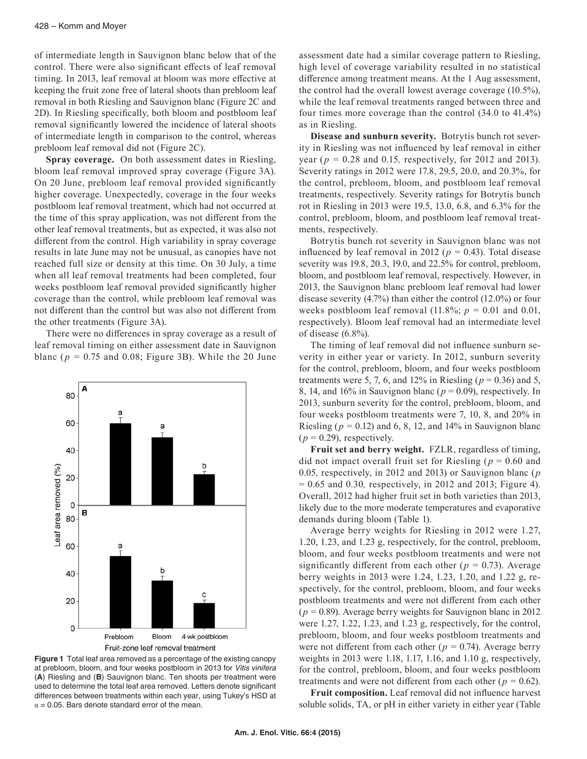of intermediate length in Sauvignon blanc below that of the control. There were also significant effects of leaf removal timing. In 2013, leaf removal at bloom was more effective at keeping the fruit zone free of lateral shoots than prebloom leaf removal in both Riesling and Sauvignon blanc (Figure 2C and 2D). In Riesling specifically, both bloom and postbloom leaf removal significantly lowered the incidence of lateral shoots of intermediate length in comparison to the control, whereas prebloom leaf removal did not (Figure 2C).

**Spray coverage.** On both assessment dates in Riesling, bloom leaf removal improved spray coverage (Figure 3A). On 20 June, prebloom leaf removal provided significantly higher coverage. Unexpectedly, coverage in the four weeks postbloom leaf removal treatment, which had not occurred at the time of this spray application, was not different from the other leaf removal treatments, but as expected, it was also not different from the control. High variability in spray coverage results in late June may not be unusual, as canopies have not reached full size or density at this time. On 30 July, a time when all leaf removal treatments had been completed, four weeks postbloom leaf removal provided significantly higher coverage than the control, while prebloom leaf removal was not different than the control but was also not different from the other treatments (Figure 3A).

There were no differences in spray coverage as a result of leaf removal timing on either assessment date in Sauvignon blanc ( $p = 0.75$  and 0.08; Figure 3B). While the 20 June



**Figure 1** Total leaf area removed as a percentage of the existing canopy at prebloom, bloom, and four weeks postbloom in 2013 for *Vitis vinifera*  (**A**) Riesling and (**B**) Sauvignon blanc. Ten shoots per treatment were used to determine the total leaf area removed. Letters denote significant differences between treatments within each year, using Tukey's HSD at  $\alpha$  = 0.05. Bars denote standard error of the mean.

assessment date had a similar coverage pattern to Riesling, high level of coverage variability resulted in no statistical difference among treatment means. At the 1 Aug assessment, the control had the overall lowest average coverage (10.5%), while the leaf removal treatments ranged between three and four times more coverage than the control (34.0 to 41.4%) as in Riesling.

**Disease and sunburn severity.** Botrytis bunch rot severity in Riesling was not influenced by leaf removal in either year (*p =* 0.28 and 0.15*,* respectively, for 2012 and 2013). Severity ratings in 2012 were 17.8, 29.5, 20.0, and 20.3%, for the control, prebloom, bloom, and postbloom leaf removal treatments, respectively. Severity ratings for Botrytis bunch rot in Riesling in 2013 were 19.5, 13.0, 6.8, and 6.3% for the control, prebloom, bloom, and postbloom leaf removal treatments, respectively.

Botrytis bunch rot severity in Sauvignon blanc was not influenced by leaf removal in 2012 ( $p = 0.43$ ). Total disease severity was 19.8, 20.3, 19.0, and 22.5% for control, prebloom, bloom, and postbloom leaf removal, respectively. However, in 2013, the Sauvignon blanc prebloom leaf removal had lower disease severity (4.7%) than either the control (12.0%) or four weeks postbloom leaf removal (11.8%;  $p = 0.01$  and 0.01, respectively). Bloom leaf removal had an intermediate level of disease (6.8%).

The timing of leaf removal did not influence sunburn severity in either year or variety. In 2012, sunburn severity for the control, prebloom, bloom, and four weeks postbloom treatments were 5, 7, 6, and 12% in Riesling ( $p = 0.36$ ) and 5, 8, 14, and 16% in Sauvignon blanc ( $p = 0.09$ ), respectively. In 2013, sunburn severity for the control, prebloom, bloom, and four weeks postbloom treatments were 7, 10, 8, and 20% in Riesling  $(p = 0.12)$  and 6, 8, 12, and 14% in Sauvignon blanc  $(p = 0.29)$ , respectively.

**Fruit set and berry weight.** FZLR, regardless of timing, did not impact overall fruit set for Riesling (*p* = 0.60 and 0.05*,* respectively, in 2012 and 2013) or Sauvignon blanc (*p* = 0.65 and 0.30*,* respectively, in 2012 and 2013; Figure 4). Overall, 2012 had higher fruit set in both varieties than 2013, likely due to the more moderate temperatures and evaporative demands during bloom (Table 1).

Average berry weights for Riesling in 2012 were 1.27, 1.20, 1.23, and 1.23 g, respectively, for the control, prebloom, bloom, and four weeks postbloom treatments and were not significantly different from each other (*p =* 0.73). Average berry weights in 2013 were 1.24, 1.23, 1.20, and 1.22 g, respectively, for the control, prebloom, bloom, and four weeks postbloom treatments and were not different from each other (*p =* 0.89). Average berry weights for Sauvignon blanc in 2012 were 1.27, 1.22, 1.23, and 1.23 g, respectively, for the control, prebloom, bloom, and four weeks postbloom treatments and were not different from each other ( $p = 0.74$ ). Average berry weights in 2013 were 1.18, 1.17, 1.16, and 1.10 g, respectively, for the control, prebloom, bloom, and four weeks postbloom treatments and were not different from each other ( $p = 0.62$ ).

**Fruit composition.** Leaf removal did not influence harvest soluble solids, TA, or pH in either variety in either year (Table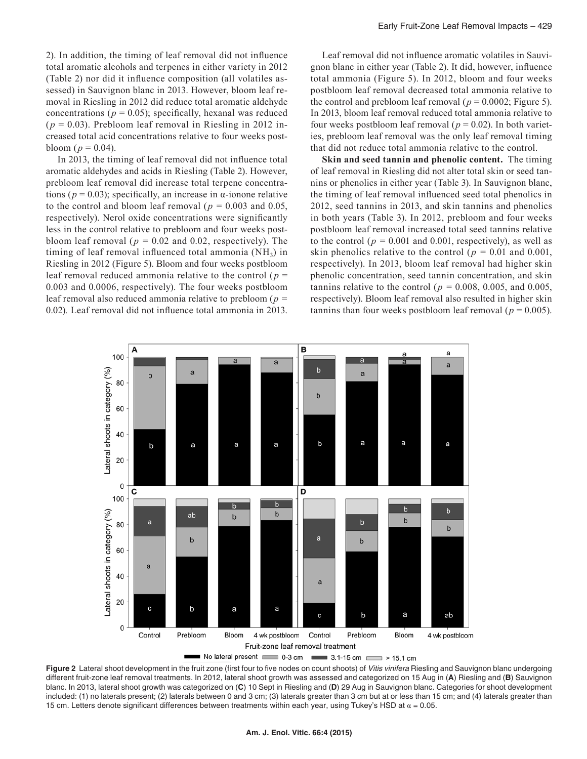2). In addition, the timing of leaf removal did not influence total aromatic alcohols and terpenes in either variety in 2012 (Table 2) nor did it influence composition (all volatiles assessed) in Sauvignon blanc in 2013. However, bloom leaf removal in Riesling in 2012 did reduce total aromatic aldehyde concentrations ( $p = 0.05$ ); specifically, hexanal was reduced  $(p = 0.03)$ . Prebloom leaf removal in Riesling in 2012 increased total acid concentrations relative to four weeks postbloom ( $p = 0.04$ ).

In 2013, the timing of leaf removal did not influence total aromatic aldehydes and acids in Riesling (Table 2). However, prebloom leaf removal did increase total terpene concentrations (*p* = 0.03); specifically, an increase in α-ionone relative to the control and bloom leaf removal ( $p = 0.003$  and 0.05, respectively). Nerol oxide concentrations were significantly less in the control relative to prebloom and four weeks postbloom leaf removal ( $p = 0.02$  and 0.02, respectively). The timing of leaf removal influenced total ammonia (NH<sub>3</sub>) in Riesling in 2012 (Figure 5). Bloom and four weeks postbloom leaf removal reduced ammonia relative to the control (*p* = 0.003 and 0.0006, respectively). The four weeks postbloom leaf removal also reduced ammonia relative to prebloom (*p =*  0.02)*.* Leaf removal did not influence total ammonia in 2013.

Leaf removal did not influence aromatic volatiles in Sauvignon blanc in either year (Table 2). It did, however, influence total ammonia (Figure 5). In 2012, bloom and four weeks postbloom leaf removal decreased total ammonia relative to the control and prebloom leaf removal ( $p = 0.0002$ ; Figure 5). In 2013, bloom leaf removal reduced total ammonia relative to four weeks postbloom leaf removal ( $p = 0.02$ ). In both varieties, prebloom leaf removal was the only leaf removal timing that did not reduce total ammonia relative to the control.

**Skin and seed tannin and phenolic content.**The timing of leaf removal in Riesling did not alter total skin or seed tannins or phenolics in either year (Table 3). In Sauvignon blanc, the timing of leaf removal influenced seed total phenolics in 2012, seed tannins in 2013, and skin tannins and phenolics in both years (Table 3). In 2012, prebloom and four weeks postbloom leaf removal increased total seed tannins relative to the control ( $p = 0.001$  and 0.001, respectively), as well as skin phenolics relative to the control ( $p = 0.01$  and 0.001, respectively). In 2013, bloom leaf removal had higher skin phenolic concentration, seed tannin concentration, and skin tannins relative to the control ( $p = 0.008, 0.005,$  and 0.005, respectively). Bloom leaf removal also resulted in higher skin tannins than four weeks postbloom leaf removal ( $p = 0.005$ ).



**Figure 2** Lateral shoot development in the fruit zone (first four to five nodes on count shoots) of *Vitis vinifera* Riesling and Sauvignon blanc undergoing different fruit-zone leaf removal treatments. In 2012, lateral shoot growth was assessed and categorized on 15 Aug in (**A**) Riesling and (**B**) Sauvignon blanc. In 2013, lateral shoot growth was categorized on (**C**) 10 Sept in Riesling and (**D**) 29 Aug in Sauvignon blanc. Categories for shoot development included: (1) no laterals present; (2) laterals between 0 and 3 cm; (3) laterals greater than 3 cm but at or less than 15 cm; and (4) laterals greater than 15 cm. Letters denote significant differences between treatments within each year, using Tukey's HSD at  $\alpha$  = 0.05.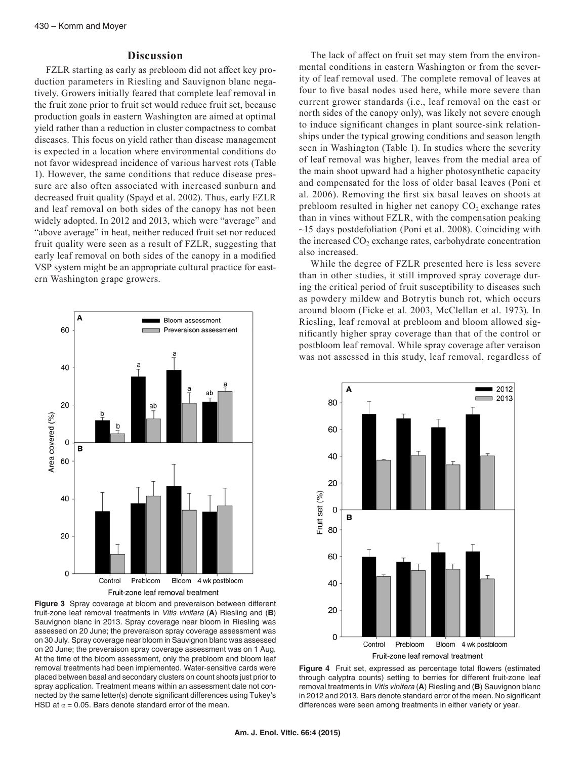#### **Discussion**

FZLR starting as early as prebloom did not affect key production parameters in Riesling and Sauvignon blanc negatively. Growers initially feared that complete leaf removal in the fruit zone prior to fruit set would reduce fruit set, because production goals in eastern Washington are aimed at optimal yield rather than a reduction in cluster compactness to combat diseases. This focus on yield rather than disease management is expected in a location where environmental conditions do not favor widespread incidence of various harvest rots (Table 1). However, the same conditions that reduce disease pressure are also often associated with increased sunburn and decreased fruit quality (Spayd et al. 2002). Thus, early FZLR and leaf removal on both sides of the canopy has not been widely adopted. In 2012 and 2013, which were "average" and "above average" in heat, neither reduced fruit set nor reduced fruit quality were seen as a result of FZLR, suggesting that early leaf removal on both sides of the canopy in a modified VSP system might be an appropriate cultural practice for eastern Washington grape growers.



**Figure 3** Spray coverage at bloom and preveraison between different fruit-zone leaf removal treatments in *Vitis vinifera* (**A**) Riesling and (**B**) Sauvignon blanc in 2013. Spray coverage near bloom in Riesling was assessed on 20 June; the preveraison spray coverage assessment was on 30 July. Spray coverage near bloom in Sauvignon blanc was assessed on 20 June; the preveraison spray coverage assessment was on 1 Aug. At the time of the bloom assessment, only the prebloom and bloom leaf removal treatments had been implemented. Water-sensitive cards were placed between basal and secondary clusters on count shoots just prior to spray application. Treatment means within an assessment date not connected by the same letter(s) denote significant differences using Tukey's HSD at  $\alpha$  = 0.05. Bars denote standard error of the mean.

The lack of affect on fruit set may stem from the environmental conditions in eastern Washington or from the severity of leaf removal used. The complete removal of leaves at four to five basal nodes used here, while more severe than current grower standards (i.e., leaf removal on the east or north sides of the canopy only), was likely not severe enough to induce significant changes in plant source-sink relationships under the typical growing conditions and season length seen in Washington (Table 1). In studies where the severity of leaf removal was higher, leaves from the medial area of the main shoot upward had a higher photosynthetic capacity and compensated for the loss of older basal leaves (Poni et al. 2006). Removing the first six basal leaves on shoots at prebloom resulted in higher net canopy  $CO<sub>2</sub>$  exchange rates than in vines without FZLR, with the compensation peaking  $\sim$ 15 days postdefoliation (Poni et al. 2008). Coinciding with the increased  $CO<sub>2</sub>$  exchange rates, carbohydrate concentration also increased.

While the degree of FZLR presented here is less severe than in other studies, it still improved spray coverage during the critical period of fruit susceptibility to diseases such as powdery mildew and Botrytis bunch rot, which occurs around bloom (Ficke et al. 2003, McClellan et al. 1973). In Riesling, leaf removal at prebloom and bloom allowed significantly higher spray coverage than that of the control or postbloom leaf removal. While spray coverage after veraison was not assessed in this study, leaf removal, regardless of



**Figure 4** Fruit set, expressed as percentage total flowers (estimated through calyptra counts) setting to berries for different fruit-zone leaf removal treatments in *Vitis vinifera* (**A**) Riesling and (**B**) Sauvignon blanc in 2012 and 2013. Bars denote standard error of the mean. No significant differences were seen among treatments in either variety or year.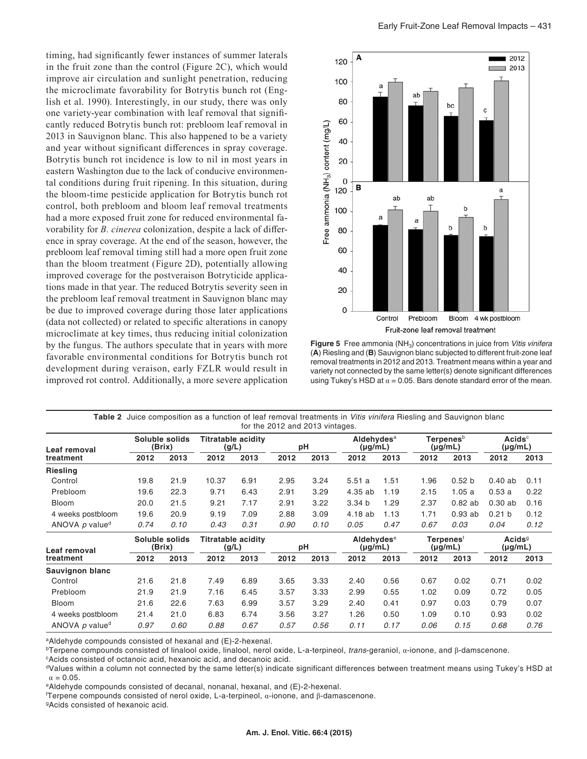timing, had significantly fewer instances of summer laterals in the fruit zone than the control (Figure 2C), which would improve air circulation and sunlight penetration, reducing the microclimate favorability for Botrytis bunch rot (English et al. 1990). Interestingly, in our study, there was only one variety-year combination with leaf removal that significantly reduced Botrytis bunch rot: prebloom leaf removal in 2013 in Sauvignon blanc. This also happened to be a variety and year without significant differences in spray coverage. Botrytis bunch rot incidence is low to nil in most years in eastern Washington due to the lack of conducive environmental conditions during fruit ripening. In this situation, during the bloom-time pesticide application for Botrytis bunch rot control, both prebloom and bloom leaf removal treatments had a more exposed fruit zone for reduced environmental favorability for *B. cinerea* colonization, despite a lack of difference in spray coverage. At the end of the season, however, the prebloom leaf removal timing still had a more open fruit zone than the bloom treatment (Figure 2D), potentially allowing improved coverage for the postveraison Botryticide applications made in that year. The reduced Botrytis severity seen in the prebloom leaf removal treatment in Sauvignon blanc may be due to improved coverage during those later applications (data not collected) or related to specific alterations in canopy microclimate at key times, thus reducing initial colonization by the fungus. The authors speculate that in years with more favorable environmental conditions for Botrytis bunch rot development during veraison, early FZLR would result in improved rot control. Additionally, a more severe application



**Figure 5** Free ammonia (NH3) concentrations in juice from *Vitis vinifera*  (**A**) Riesling and (**B**) Sauvignon blanc subjected to different fruit-zone leaf removal treatments in 2012 and 2013. Treatment means within a year and variety not connected by the same letter(s) denote significant differences using Tukey's HSD at  $\alpha$  = 0.05. Bars denote standard error of the mean.

| for the 2012 and 2013 vintages. |                          |      |                                    |      |      |      |                                        |      |                                     |                   |                                    |      |
|---------------------------------|--------------------------|------|------------------------------------|------|------|------|----------------------------------------|------|-------------------------------------|-------------------|------------------------------------|------|
| Leaf removal                    | Soluble solids<br>(Brix) |      | <b>Titratable acidity</b><br>(g/L) |      | рH   |      | Aldehydes <sup>a</sup><br>$(\mu g/mL)$ |      | Terpenes $^{\rm b}$<br>$(\mu g/mL)$ |                   | Acids <sup>c</sup><br>(µg/mL)      |      |
| treatment                       | 2012                     | 2013 | 2012                               | 2013 | 2012 | 2013 | 2012                                   | 2013 | 2012                                | 2013              | 2012                               | 2013 |
| Riesling                        |                          |      |                                    |      |      |      |                                        |      |                                     |                   |                                    |      |
| Control                         | 19.8                     | 21.9 | 10.37                              | 6.91 | 2.95 | 3.24 | 5.51a                                  | 1.51 | 1.96                                | 0.52 <sub>b</sub> | 0.40ab                             | 0.11 |
| Prebloom                        | 19.6                     | 22.3 | 9.71                               | 6.43 | 2.91 | 3.29 | 4.35ab                                 | 1.19 | 2.15                                | 1.05a             | 0.53a                              | 0.22 |
| <b>Bloom</b>                    | 20.0                     | 21.5 | 9.21                               | 7.17 | 2.91 | 3.22 | 3.34 <sub>b</sub>                      | 1.29 | 2.37                                | $0.82$ ab         | 0.30ab                             | 0.16 |
| 4 weeks postbloom               | 19.6                     | 20.9 | 9.19                               | 7.09 | 2.88 | 3.09 | 4.18ab                                 | 1.13 | 1.71                                | $0.93$ ab         | 0.21 b                             | 0.12 |
| ANOVA p value <sup>d</sup>      | 0.74                     | 0.10 | 0.43                               | 0.31 | 0.90 | 0.10 | 0.05                                   | 0.47 | 0.67                                | 0.03              | 0.04                               | 0.12 |
| Leaf removal                    | Soluble solids<br>(Brix) |      | <b>Titratable acidity</b><br>(g/L) |      | рH   |      | Aldehydes <sup>e</sup><br>$(\mu g/mL)$ |      | Terpenes†<br>$(\mu g/mL)$           |                   | Acids <sup>9</sup><br>$(\mu g/mL)$ |      |
| treatment                       | 2012                     | 2013 | 2012                               | 2013 | 2012 | 2013 | 2012                                   | 2013 | 2012                                | 2013              | 2012                               | 2013 |
| Sauvignon blanc                 |                          |      |                                    |      |      |      |                                        |      |                                     |                   |                                    |      |
| Control                         | 21.6                     | 21.8 | 7.49                               | 6.89 | 3.65 | 3.33 | 2.40                                   | 0.56 | 0.67                                | 0.02              | 0.71                               | 0.02 |
| Prebloom                        | 21.9                     | 21.9 | 7.16                               | 6.45 | 3.57 | 3.33 | 2.99                                   | 0.55 | 1.02                                | 0.09              | 0.72                               | 0.05 |
| <b>Bloom</b>                    | 21.6                     | 22.6 | 7.63                               | 6.99 | 3.57 | 3.29 | 2.40                                   | 0.41 | 0.97                                | 0.03              | 0.79                               | 0.07 |
| 4 weeks postbloom               | 21.4                     | 21.0 | 6.83                               | 6.74 | 3.56 | 3.27 | 1.26                                   | 0.50 | 1.09                                | 0.10              | 0.93                               | 0.02 |
| ANOVA p value <sup>d</sup>      | 0.97                     | 0.60 | 0.88                               | 0.67 | 0.57 | 0.56 | 0.11                                   | 0.17 | 0.06                                | 0.15              | 0.68                               | 0.76 |

| Table 2 Juice composition as a function of leaf removal treatments in Vitis vinifera Riesling and Sauvignon blanc |  |                                 |  |  |
|-------------------------------------------------------------------------------------------------------------------|--|---------------------------------|--|--|
|                                                                                                                   |  | for the 2012 and 2013 vintages. |  |  |

aAldehyde compounds consisted of hexanal and (E)-2-hexenal.

bTerpene compounds consisted of linalool oxide, linalool, nerol oxide, L-a-terpineol, *trans*-geraniol, α-ionone, and β-damscenone.

c Acids consisted of octanoic acid, hexanoic acid, and decanoic acid.

dValues within a column not connected by the same letter(s) indicate significant differences between treatment means using Tukey's HSD at  $\alpha = 0.05$ .

eAldehyde compounds consisted of decanal, nonanal, hexanal, and (E)-2-hexenal.

f Terpene compounds consisted of nerol oxide, L-a-terpineol, α-ionone, and β-damascenone. gAcids consisted of hexanoic acid.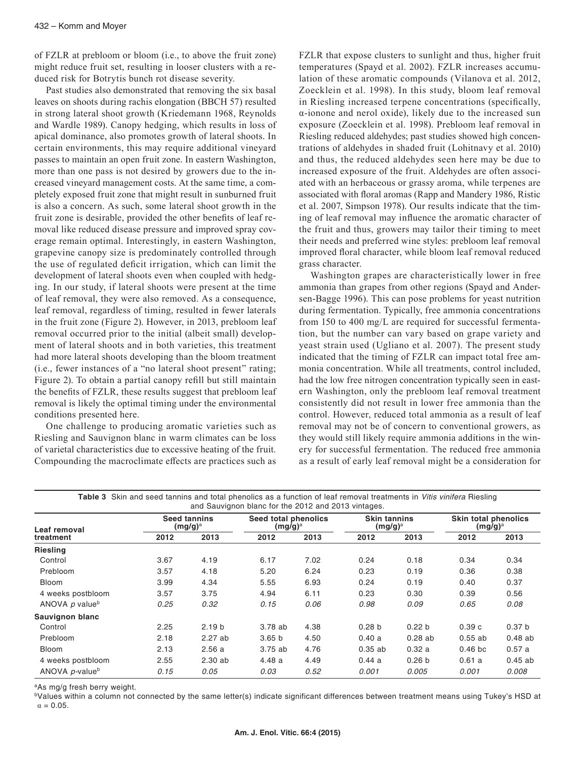of FZLR at prebloom or bloom (i.e., to above the fruit zone) might reduce fruit set, resulting in looser clusters with a reduced risk for Botrytis bunch rot disease severity.

Past studies also demonstrated that removing the six basal leaves on shoots during rachis elongation (BBCH 57) resulted in strong lateral shoot growth (Kriedemann 1968, Reynolds and Wardle 1989). Canopy hedging, which results in loss of apical dominance, also promotes growth of lateral shoots. In certain environments, this may require additional vineyard passes to maintain an open fruit zone. In eastern Washington, more than one pass is not desired by growers due to the increased vineyard management costs. At the same time, a completely exposed fruit zone that might result in sunburned fruit is also a concern. As such, some lateral shoot growth in the fruit zone is desirable, provided the other benefits of leaf removal like reduced disease pressure and improved spray coverage remain optimal. Interestingly, in eastern Washington, grapevine canopy size is predominately controlled through the use of regulated deficit irrigation, which can limit the development of lateral shoots even when coupled with hedging. In our study, if lateral shoots were present at the time of leaf removal, they were also removed. As a consequence, leaf removal, regardless of timing, resulted in fewer laterals in the fruit zone (Figure 2). However, in 2013, prebloom leaf removal occurred prior to the initial (albeit small) development of lateral shoots and in both varieties, this treatment had more lateral shoots developing than the bloom treatment (i.e., fewer instances of a "no lateral shoot present" rating; Figure 2). To obtain a partial canopy refill but still maintain the benefits of FZLR, these results suggest that prebloom leaf removal is likely the optimal timing under the environmental conditions presented here.

One challenge to producing aromatic varieties such as Riesling and Sauvignon blanc in warm climates can be loss of varietal characteristics due to excessive heating of the fruit. Compounding the macroclimate effects are practices such as

FZLR that expose clusters to sunlight and thus, higher fruit temperatures (Spayd et al. 2002). FZLR increases accumulation of these aromatic compounds (Vilanova et al. 2012, Zoecklein et al. 1998). In this study, bloom leaf removal in Riesling increased terpene concentrations (specifically, α-ionone and nerol oxide), likely due to the increased sun exposure (Zoecklein et al. 1998). Prebloom leaf removal in Riesling reduced aldehydes; past studies showed high concentrations of aldehydes in shaded fruit (Lohitnavy et al. 2010) and thus, the reduced aldehydes seen here may be due to increased exposure of the fruit. Aldehydes are often associated with an herbaceous or grassy aroma, while terpenes are associated with floral aromas (Rapp and Mandery 1986, Ristic et al. 2007, Simpson 1978). Our results indicate that the timing of leaf removal may influence the aromatic character of the fruit and thus, growers may tailor their timing to meet their needs and preferred wine styles: prebloom leaf removal improved floral character, while bloom leaf removal reduced grass character.

Washington grapes are characteristically lower in free ammonia than grapes from other regions (Spayd and Andersen-Bagge 1996). This can pose problems for yeast nutrition during fermentation. Typically, free ammonia concentrations from 150 to 400 mg/L are required for successful fermentation, but the number can vary based on grape variety and yeast strain used (Ugliano et al. 2007). The present study indicated that the timing of FZLR can impact total free ammonia concentration. While all treatments, control included, had the low free nitrogen concentration typically seen in eastern Washington, only the prebloom leaf removal treatment consistently did not result in lower free ammonia than the control. However, reduced total ammonia as a result of leaf removal may not be of concern to conventional growers, as they would still likely require ammonia additions in the winery for successful fermentation. The reduced free ammonia as a result of early leaf removal might be a consideration for

| Leaf removal                       | <b>Seed tannins</b><br>$(mg/g)^a$ |                   | Seed total phenolics<br>$(mg/g)^a$ |      | <b>Skin tannins</b><br>$(mg/g)^a$ |                   | Skin total phenolics<br>$(mg/g)^a$ |                   |
|------------------------------------|-----------------------------------|-------------------|------------------------------------|------|-----------------------------------|-------------------|------------------------------------|-------------------|
| treatment                          | 2012                              | 2013              | 2012                               | 2013 | 2012                              | 2013              | 2012                               | 2013              |
| Riesling                           |                                   |                   |                                    |      |                                   |                   |                                    |                   |
| Control                            | 3.67                              | 4.19              | 6.17                               | 7.02 | 0.24                              | 0.18              | 0.34                               | 0.34              |
| Prebloom                           | 3.57                              | 4.18              | 5.20                               | 6.24 | 0.23                              | 0.19              | 0.36                               | 0.38              |
| <b>Bloom</b>                       | 3.99                              | 4.34              | 5.55                               | 6.93 | 0.24                              | 0.19              | 0.40                               | 0.37              |
| 4 weeks postbloom                  | 3.57                              | 3.75              | 4.94                               | 6.11 | 0.23                              | 0.30              | 0.39                               | 0.56              |
| ANOVA $p$ value <sup>b</sup>       | 0.25                              | 0.32              | 0.15                               | 0.06 | 0.98                              | 0.09              | 0.65                               | 0.08              |
| Sauvignon blanc                    |                                   |                   |                                    |      |                                   |                   |                                    |                   |
| Control                            | 2.25                              | 2.19 <sub>b</sub> | 3.78ab                             | 4.38 | 0.28 <sub>b</sub>                 | 0.22 <sub>b</sub> | 0.39c                              | 0.37 <sub>b</sub> |
| Prebloom                           | 2.18                              | 2.27ab            | 3.65 <sub>b</sub>                  | 4.50 | 0.40a                             | 0.28ab            | $0.55$ ab                          | $0.48$ ab         |
| <b>Bloom</b>                       | 2.13                              | 2.56a             | 3.75ab                             | 4.76 | 0.35ab                            | 0.32a             | $0.46$ bc                          | 0.57a             |
| 4 weeks postbloom                  | 2.55                              | 2.30ab            | 4.48a                              | 4.49 | 0.44a                             | 0.26 <sub>b</sub> | 0.61a                              | $0.45$ ab         |
| ANOVA <i>p</i> -value <sup>b</sup> | 0.15                              | 0.05              | 0.03                               | 0.52 | 0.001                             | 0.005             | 0.001                              | 0.008             |

<sup>a</sup>As mg/g fresh berry weight.

bValues within a column not connected by the same letter(s) indicate significant differences between treatment means using Tukey's HSD at  $\alpha = 0.05$ .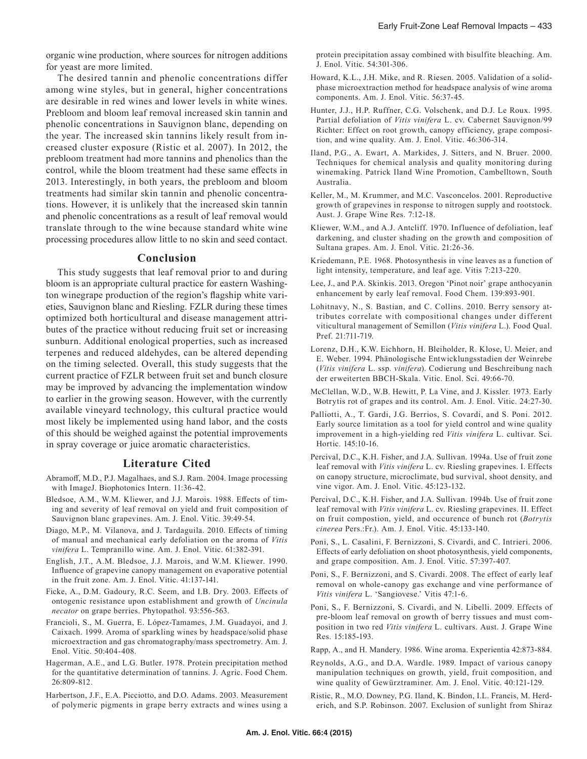organic wine production, where sources for nitrogen additions for yeast are more limited.

The desired tannin and phenolic concentrations differ among wine styles, but in general, higher concentrations are desirable in red wines and lower levels in white wines. Prebloom and bloom leaf removal increased skin tannin and phenolic concentrations in Sauvignon blanc, depending on the year. The increased skin tannins likely result from increased cluster exposure (Ristic et al. 2007). In 2012, the prebloom treatment had more tannins and phenolics than the control, while the bloom treatment had these same effects in 2013. Interestingly, in both years, the prebloom and bloom treatments had similar skin tannin and phenolic concentrations. However, it is unlikely that the increased skin tannin and phenolic concentrations as a result of leaf removal would translate through to the wine because standard white wine processing procedures allow little to no skin and seed contact.

### **Conclusion**

This study suggests that leaf removal prior to and during bloom is an appropriate cultural practice for eastern Washington winegrape production of the region's flagship white varieties, Sauvignon blanc and Riesling. FZLR during these times optimized both horticultural and disease management attributes of the practice without reducing fruit set or increasing sunburn. Additional enological properties, such as increased terpenes and reduced aldehydes, can be altered depending on the timing selected. Overall, this study suggests that the current practice of FZLR between fruit set and bunch closure may be improved by advancing the implementation window to earlier in the growing season. However, with the currently available vineyard technology, this cultural practice would most likely be implemented using hand labor, and the costs of this should be weighed against the potential improvements in spray coverage or juice aromatic characteristics.

## **Literature Cited**

- Abramoff, M.D., P.J. Magalhaes, and S.J. Ram. 2004. Image processing with ImageJ. Biophotonics Intern. 11:36-42.
- Bledsoe, A.M., W.M. Kliewer, and J.J. Marois. 1988. Effects of timing and severity of leaf removal on yield and fruit composition of Sauvignon blanc grapevines. Am. J. Enol. Vitic. 39:49-54.
- Diago, M.P., M. Vilanova, and J. Tardaguila. 2010. Effects of timing of manual and mechanical early defoliation on the aroma of *Vitis vinifera* L. Tempranillo wine. Am. J. Enol. Vitic. 61:382-391.
- English, J.T., A.M. Bledsoe, J.J. Marois, and W.M. Kliewer. 1990. Influence of grapevine canopy management on evaporative potential in the fruit zone. Am. J. Enol. Vitic. 41:137-141.
- Ficke, A., D.M. Gadoury, R.C. Seem, and I.B. Dry. 2003. Effects of ontogenic resistance upon establishment and growth of *Uncinula necator* on grape berries. Phytopathol. 93:556-563.
- Francioli, S., M. Guerra, E. López-Tamames, J.M. Guadayoi, and J. Caixach. 1999. Aroma of sparkling wines by headspace/solid phase microextraction and gas chromatography/mass spectrometry. Am. J. Enol. Vitic. 50:404-408.
- Hagerman, A.E., and L.G. Butler. 1978. Protein precipitation method for the quantitative determination of tannins. J. Agric. Food Chem. 26:809-812.
- Harbertson, J.F., E.A. Picciotto, and D.O. Adams. 2003. Measurement of polymeric pigments in grape berry extracts and wines using a

protein precipitation assay combined with bisulfite bleaching. Am. J. Enol. Vitic. 54:301-306.

- Howard, K.L., J.H. Mike, and R. Riesen. 2005. Validation of a solidphase microextraction method for headspace analysis of wine aroma components. Am. J. Enol. Vitic. 56:37-45.
- Hunter, J.J., H.P. Ruffner, C.G. Volschenk, and D.J. Le Roux. 1995. Partial defoliation of *Vitis vinifera* L. cv. Cabernet Sauvignon/99 Richter: Effect on root growth, canopy efficiency, grape composition, and wine quality. Am. J. Enol. Vitic. 46:306-314.
- Iland, P.G., A. Ewart, A. Markides, J. Sitters, and N. Bruer. 2000. Techniques for chemical analysis and quality monitoring during winemaking. Patrick Iland Wine Promotion, Cambelltown, South Australia.
- Keller, M., M. Krummer, and M.C. Vasconcelos. 2001. Reproductive growth of grapevines in response to nitrogen supply and rootstock. Aust. J. Grape Wine Res. 7:12-18.
- Kliewer, W.M., and A.J. Antcliff. 1970. Influence of defoliation, leaf darkening, and cluster shading on the growth and composition of Sultana grapes. Am. J. Enol. Vitic. 21:26-36.
- Kriedemann, P.E. 1968. Photosynthesis in vine leaves as a function of light intensity, temperature, and leaf age. Vitis 7:213-220.
- Lee, J., and P.A. Skinkis. 2013. Oregon 'Pinot noir' grape anthocyanin enhancement by early leaf removal. Food Chem. 139:893-901.
- Lohitnavy, N., S. Bastian, and C. Collins. 2010. Berry sensory attributes correlate with compositional changes under different viticultural management of Semillon (*Vitis vinifera* L.). Food Qual. Pref. 21:711-719.
- Lorenz, D.H., K.W. Eichhorn, H. Bleiholder, R. Klose, U. Meier, and E. Weber. 1994. Phänologische Entwicklungsstadien der Weinrebe (*Vitis vinifera* L. ssp. *vinifera*). Codierung und Beschreibung nach der erweiterten BBCH-Skala. Vitic. Enol. Sci. 49:66-70.
- McClellan, W.D., W.B. Hewitt, P. La Vine, and J. Kissler. 1973. Early Botrytis rot of grapes and its control. Am. J. Enol. Vitic. 24:27-30.
- Palliotti, A., T. Gardi, J.G. Berrios, S. Covardi, and S. Poni. 2012. Early source limitation as a tool for yield control and wine quality improvement in a high-yielding red *Vitis vinifera* L. cultivar. Sci. Hortic. 145:10-16.
- Percival, D.C., K.H. Fisher, and J.A. Sullivan. 1994a. Use of fruit zone leaf removal with *Vitis vinifera* L. cv. Riesling grapevines. I. Effects on canopy structure, microclimate, bud survival, shoot density, and vine vigor. Am. J. Enol. Vitic. 45:123-132.
- Percival, D.C., K.H. Fisher, and J.A. Sullivan. 1994b. Use of fruit zone leaf removal with *Vitis vinifera* L. cv. Riesling grapevines. II. Effect on fruit compostion, yield, and occurence of bunch rot (*Botrytis cinerea* Pers.:Fr.). Am. J. Enol. Vitic. 45:133-140.
- Poni, S., L. Casalini, F. Bernizzoni, S. Civardi, and C. Intrieri. 2006. Effects of early defoliation on shoot photosynthesis, yield components, and grape composition. Am. J. Enol. Vitic. 57:397-407.
- Poni, S., F. Bernizzoni, and S. Civardi. 2008. The effect of early leaf removal on whole-canopy gas exchange and vine performance of *Vitis vinifera* L. 'Sangiovese.' Vitis 47:1-6.
- Poni, S., F. Bernizzoni, S. Civardi, and N. Libelli. 2009. Effects of pre-bloom leaf removal on growth of berry tissues and must composition in two red *Vitis vinifera* L. cultivars. Aust. J. Grape Wine Res. 15:185-193.
- Rapp, A., and H. Mandery. 1986. Wine aroma. Experientia 42:873-884.
- Reynolds, A.G., and D.A. Wardle. 1989. Impact of various canopy manipulation techniques on growth, yield, fruit composition, and wine quality of Gewürztraminer. Am. J. Enol. Vitic. 40:121-129.
- Ristic, R., M.O. Downey, P.G. Iland, K. Bindon, I.L. Francis, M. Herderich, and S.P. Robinson. 2007. Exclusion of sunlight from Shiraz